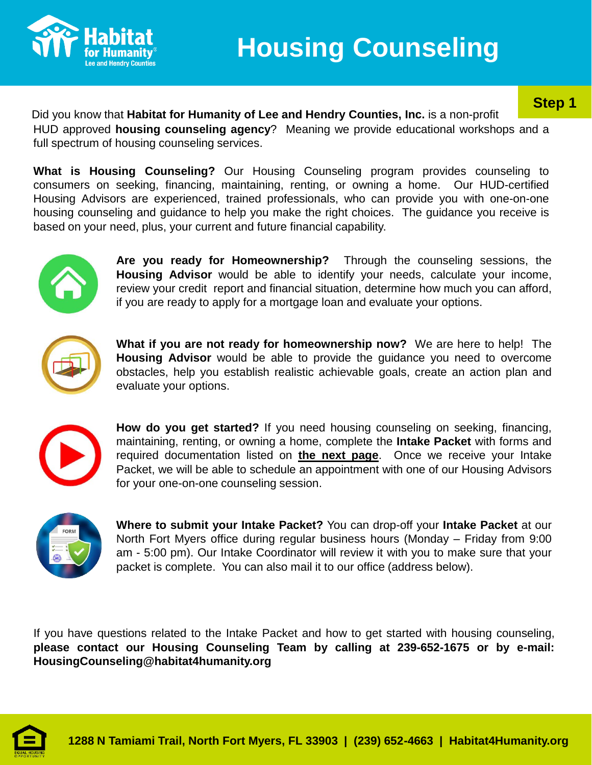

# **Step 1**

Did you know that **Habitat for Humanity of Lee and Hendry Counties, Inc.** is a non-profit HUD approved **housing counseling agency**? Meaning we provide educational workshops and a full spectrum of housing counseling services.

**What is Housing Counseling?** Our Housing Counseling program provides counseling to consumers on seeking, financing, maintaining, renting, or owning a home. Our HUD-certified Housing Advisors are experienced, trained professionals, who can provide you with one-on-one housing counseling and guidance to help you make the right choices. The guidance you receive is based on your need, plus, your current and future financial capability.



**Are you ready for Homeownership?** Through the counseling sessions, the **Housing Advisor** would be able to identify your needs, calculate your income, review your credit report and financial situation, determine how much you can afford, if you are ready to apply for a mortgage loan and evaluate your options.



**What if you are not ready for homeownership now?** We are here to help! The **Housing Advisor** would be able to provide the guidance you need to overcome obstacles, help you establish realistic achievable goals, create an action plan and evaluate your options.



**How do you get started?** If you need housing counseling on seeking, financing, maintaining, renting, or owning a home, complete the **Intake Packet** with forms and required documentation listed on **the next page**. Once we receive your Intake Packet, we will be able to schedule an appointment with one of our Housing Advisors for your one-on-one counseling session.



**Where to submit your Intake Packet?** You can drop-off your **Intake Packet** at our North Fort Myers office during regular business hours (Monday – Friday from 9:00 am - 5:00 pm). Our Intake Coordinator will review it with you to make sure that your packet is complete. You can also mail it to our office (address below).

If you have questions related to the Intake Packet and how to get started with housing counseling, **please contact our Housing Counseling Team by calling at 239-652-1675 or by e-mail: HousingCounseling@habitat4humanity.org**

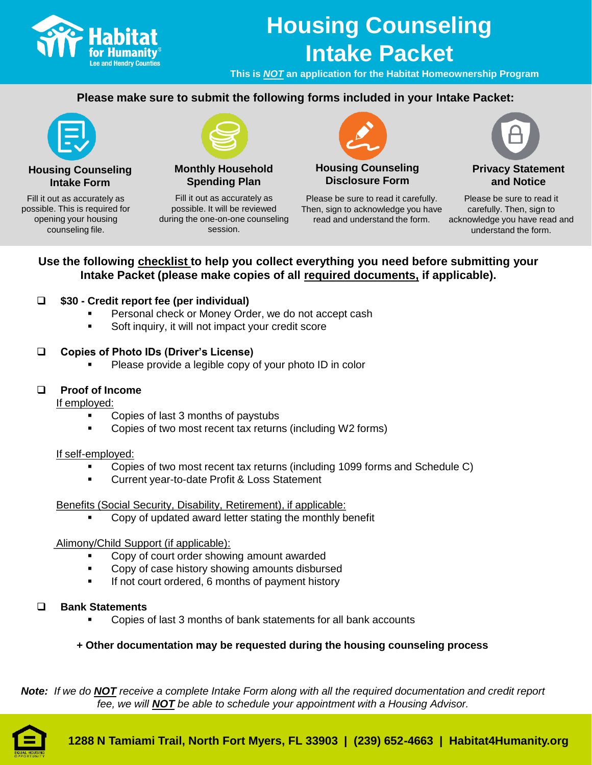

# **Housing Counseling Intake Packet**

**This is** *NOT* **an application for the Habitat Homeownership Program** 

# **Please make sure to submit the following forms included in your Intake Packet:**



**Housing Counseling Intake Form**

Fill it out as accurately as possible. This is required for opening your housing counseling file.



**Monthly Household Spending Plan**

Fill it out as accurately as possible. It will be reviewed during the one-on-one counseling session.



**Housing Counseling Disclosure Form**

Please be sure to read it carefully. Then, sign to acknowledge you have read and understand the form.



**Privacy Statement and Notice**

Please be sure to read it carefully. Then, sign to acknowledge you have read and understand the form.

# **Use the following checklist to help you collect everything you need before submitting your Intake Packet (please make copies of all required documents, if applicable).**

# ❑ **\$30 - Credit report fee (per individual)**

- Personal check or Money Order, we do not accept cash
- Soft inquiry, it will not impact your credit score

# ❑ **Copies of Photo IDs (Driver's License)**

Please provide a legible copy of your photo ID in color

# ❑ **Proof of Income**

If employed:

- Copies of last 3 months of paystubs
- Copies of two most recent tax returns (including W2 forms)

### If self-employed:

- Copies of two most recent tax returns (including 1099 forms and Schedule C)
- Current year-to-date Profit & Loss Statement

# Benefits (Social Security, Disability, Retirement), if applicable:

Copy of updated award letter stating the monthly benefit

### Alimony/Child Support (if applicable):

- Copy of court order showing amount awarded
- Copy of case history showing amounts disbursed
- If not court ordered, 6 months of payment history
- ❑ **Bank Statements** 
	- Copies of last 3 months of bank statements for all bank accounts

# **+ Other documentation may be requested during the housing counseling process**

*Note: If we do NOT receive a complete Intake Form along with all the required documentation and credit report fee, we will NOT be able to schedule your appointment with a Housing Advisor.*

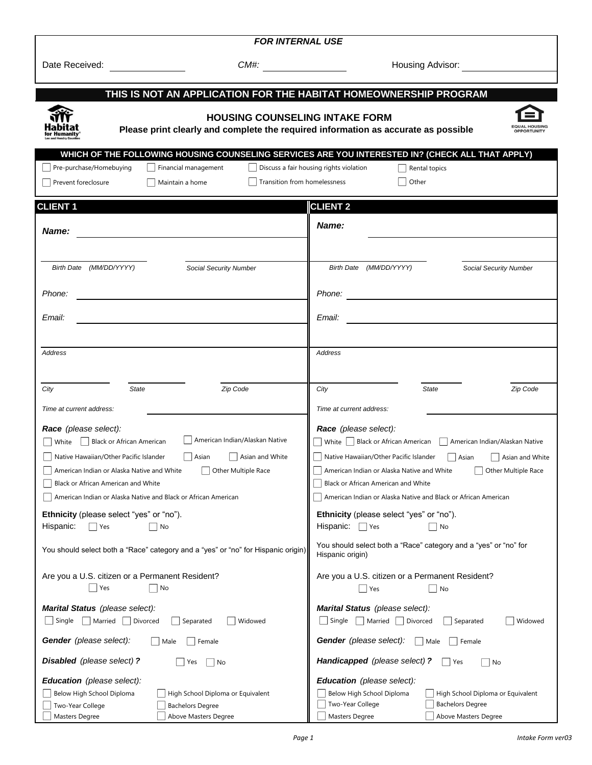| <b>FOR INTERNAL USE</b>                                                                                                                                                                                                                                 |                                                                                                                                                                                                                                                         |  |  |  |
|---------------------------------------------------------------------------------------------------------------------------------------------------------------------------------------------------------------------------------------------------------|---------------------------------------------------------------------------------------------------------------------------------------------------------------------------------------------------------------------------------------------------------|--|--|--|
| Date Received:                                                                                                                                                                                                                                          | <b>Housing Advisor:</b> Now a state of the state of the state of the state of the state of the state of the state of the state of the state of the state of the state of the state of the state of the state of the state of the st                     |  |  |  |
| <u> a shekara ta 1999 a shekara t</u>                                                                                                                                                                                                                   |                                                                                                                                                                                                                                                         |  |  |  |
|                                                                                                                                                                                                                                                         | THIS IS NOT AN APPLICATION FOR THE HABITAT HOMEOWNERSHIP PROGRAM                                                                                                                                                                                        |  |  |  |
|                                                                                                                                                                                                                                                         | <b>HOUSING COUNSELING INTAKE FORM</b><br>Please print clearly and complete the required information as accurate as possible                                                                                                                             |  |  |  |
| Pre-purchase/Homebuying<br>Financial management<br>Prevent foreclosure<br>Maintain a home                                                                                                                                                               | WHICH OF THE FOLLOWING HOUSING COUNSELING SERVICES ARE YOU INTERESTED IN? (CHECK ALL THAT APPLY)<br>Discuss a fair housing rights violation<br>Rental topics<br>Transition from homelessness<br>Other                                                   |  |  |  |
| <b>CLIENT 1</b>                                                                                                                                                                                                                                         | <b>CLIENT 2</b>                                                                                                                                                                                                                                         |  |  |  |
| <b>Name:</b>                                                                                                                                                                                                                                            | Name:                                                                                                                                                                                                                                                   |  |  |  |
| Birth Date (MM/DD/YYYY)                                                                                                                                                                                                                                 | Birth Date (MM/DD/YYYY)                                                                                                                                                                                                                                 |  |  |  |
| <b>Social Security Number</b>                                                                                                                                                                                                                           | <b>Social Security Number</b>                                                                                                                                                                                                                           |  |  |  |
| Phone:                                                                                                                                                                                                                                                  | Phone:                                                                                                                                                                                                                                                  |  |  |  |
|                                                                                                                                                                                                                                                         | <u> 1980 - Jan Samuel Barbara, martin d</u>                                                                                                                                                                                                             |  |  |  |
| Email:                                                                                                                                                                                                                                                  | Email:                                                                                                                                                                                                                                                  |  |  |  |
|                                                                                                                                                                                                                                                         |                                                                                                                                                                                                                                                         |  |  |  |
| Address                                                                                                                                                                                                                                                 | Address                                                                                                                                                                                                                                                 |  |  |  |
| State                                                                                                                                                                                                                                                   | City                                                                                                                                                                                                                                                    |  |  |  |
| Zip Code                                                                                                                                                                                                                                                | <b>State</b>                                                                                                                                                                                                                                            |  |  |  |
| City                                                                                                                                                                                                                                                    | Zip Code                                                                                                                                                                                                                                                |  |  |  |
| Time at current address:                                                                                                                                                                                                                                | Time at current address:                                                                                                                                                                                                                                |  |  |  |
| Race (please select):<br>    American Indian/Alaskan Native<br>$\Box$ White $\Box$ Black or African American<br>Native Hawaiian/Other Pacific Islander<br>Asian<br>Asian and White<br>American Indian or Alaska Native and White<br>Other Multiple Race | Race (please select):<br>$\Box$ White $\Box$ Black or African American $\Box$ American Indian/Alaskan Native<br>Native Hawaiian/Other Pacific Islander<br>Asian<br>Asian and White<br>American Indian or Alaska Native and White<br>Other Multiple Race |  |  |  |
| Black or African American and White                                                                                                                                                                                                                     | Black or African American and White                                                                                                                                                                                                                     |  |  |  |
| American Indian or Alaska Native and Black or African American                                                                                                                                                                                          | American Indian or Alaska Native and Black or African American                                                                                                                                                                                          |  |  |  |
| Ethnicity (please select "yes" or "no").                                                                                                                                                                                                                | Ethnicity (please select "yes" or "no").                                                                                                                                                                                                                |  |  |  |
| Hispanic:                                                                                                                                                                                                                                               | Hispanic:                                                                                                                                                                                                                                               |  |  |  |
| No                                                                                                                                                                                                                                                      | $ $ Yes                                                                                                                                                                                                                                                 |  |  |  |
| Yes                                                                                                                                                                                                                                                     | No                                                                                                                                                                                                                                                      |  |  |  |
| You should select both a "Race" category and a "yes" or "no" for Hispanic origin)                                                                                                                                                                       | You should select both a "Race" category and a "yes" or "no" for<br>Hispanic origin)                                                                                                                                                                    |  |  |  |
| Are you a U.S. citizen or a Permanent Resident?                                                                                                                                                                                                         | Are you a U.S. citizen or a Permanent Resident?                                                                                                                                                                                                         |  |  |  |
| Yes                                                                                                                                                                                                                                                     | No                                                                                                                                                                                                                                                      |  |  |  |
| No                                                                                                                                                                                                                                                      | Yes                                                                                                                                                                                                                                                     |  |  |  |
| Marital Status (please select):                                                                                                                                                                                                                         | Marital Status (please select):                                                                                                                                                                                                                         |  |  |  |
| $\Box$ Single $\Box$ Married $\Box$ Divorced                                                                                                                                                                                                            | $\Box$ Single $\Box$ Married $\Box$ Divorced                                                                                                                                                                                                            |  |  |  |
| Widowed                                                                                                                                                                                                                                                 | $\vert$ Separated                                                                                                                                                                                                                                       |  |  |  |
| Separated                                                                                                                                                                                                                                               | Widowed                                                                                                                                                                                                                                                 |  |  |  |
| Gender (please select):                                                                                                                                                                                                                                 | Gender (please select):                                                                                                                                                                                                                                 |  |  |  |
| Male                                                                                                                                                                                                                                                    | Male                                                                                                                                                                                                                                                    |  |  |  |
| Female                                                                                                                                                                                                                                                  | Female                                                                                                                                                                                                                                                  |  |  |  |
| Disabled (please select) ?                                                                                                                                                                                                                              | Handicapped (please select) ?                                                                                                                                                                                                                           |  |  |  |
| Yes                                                                                                                                                                                                                                                     | Yes                                                                                                                                                                                                                                                     |  |  |  |
| No                                                                                                                                                                                                                                                      | No                                                                                                                                                                                                                                                      |  |  |  |
| Education (please select):                                                                                                                                                                                                                              | Education (please select):                                                                                                                                                                                                                              |  |  |  |
| Below High School Diploma                                                                                                                                                                                                                               | Below High School Diploma                                                                                                                                                                                                                               |  |  |  |
| High School Diploma or Equivalent                                                                                                                                                                                                                       | High School Diploma or Equivalent                                                                                                                                                                                                                       |  |  |  |
| Two-Year College                                                                                                                                                                                                                                        | Two-Year College                                                                                                                                                                                                                                        |  |  |  |
| <b>Bachelors Degree</b>                                                                                                                                                                                                                                 | <b>Bachelors Degree</b>                                                                                                                                                                                                                                 |  |  |  |
| Masters Degree                                                                                                                                                                                                                                          | Masters Degree                                                                                                                                                                                                                                          |  |  |  |
| Above Masters Degree                                                                                                                                                                                                                                    | Above Masters Degree                                                                                                                                                                                                                                    |  |  |  |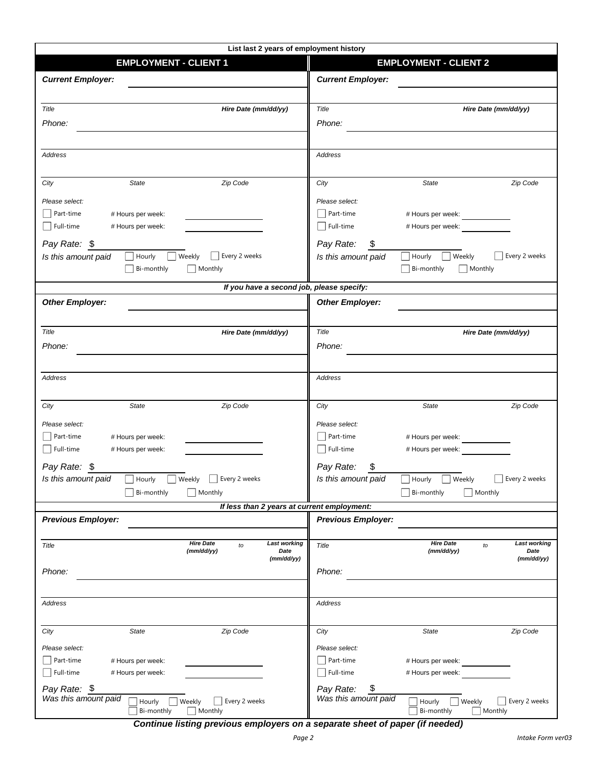| List last 2 years of employment history                                            |                                                                  |  |  |  |  |
|------------------------------------------------------------------------------------|------------------------------------------------------------------|--|--|--|--|
| <b>EMPLOYMENT - CLIENT 1</b>                                                       | <b>EMPLOYMENT - CLIENT 2</b>                                     |  |  |  |  |
| <b>Current Employer:</b>                                                           | <b>Current Employer:</b>                                         |  |  |  |  |
| Title<br>Hire Date (mm/dd/yy)                                                      | Title<br>Hire Date (mm/dd/yy)                                    |  |  |  |  |
| Phone:                                                                             | Phone:                                                           |  |  |  |  |
|                                                                                    |                                                                  |  |  |  |  |
|                                                                                    |                                                                  |  |  |  |  |
| Address                                                                            | <b>Address</b>                                                   |  |  |  |  |
| Zip Code<br><b>State</b><br>City                                                   | City<br><b>State</b><br>Zip Code                                 |  |  |  |  |
| Please select:                                                                     | Please select:                                                   |  |  |  |  |
| $\Box$ Part-time<br># Hours per week:                                              | $\Box$ Part-time<br># Hours per week:                            |  |  |  |  |
| $\Box$ Full-time<br># Hours per week:                                              | $\Box$ Full-time<br># Hours per week:                            |  |  |  |  |
| Pay Rate: \$                                                                       | Pay Rate:<br>\$                                                  |  |  |  |  |
| Every 2 weeks<br>Hourly<br><b>Weekly</b><br>Is this amount paid                    | Every 2 weeks<br>$\Box$ Hourly<br>Weekly<br>Is this amount paid  |  |  |  |  |
| Monthly<br>Bi-monthly                                                              | $\vert$ Bi-monthly<br>Monthly                                    |  |  |  |  |
| If you have a second job, please specify:                                          |                                                                  |  |  |  |  |
| <b>Other Employer:</b>                                                             | <b>Other Employer:</b>                                           |  |  |  |  |
|                                                                                    |                                                                  |  |  |  |  |
| Title<br>Hire Date (mm/dd/yy)                                                      | Title<br>Hire Date (mm/dd/yy)                                    |  |  |  |  |
| Phone:                                                                             | Phone:                                                           |  |  |  |  |
|                                                                                    |                                                                  |  |  |  |  |
| Address                                                                            | Address                                                          |  |  |  |  |
|                                                                                    |                                                                  |  |  |  |  |
| Zip Code<br>State<br>City                                                          | City<br>State<br>Zip Code                                        |  |  |  |  |
|                                                                                    |                                                                  |  |  |  |  |
| Please select:<br>Part-time                                                        | Please select:<br>  Part-time                                    |  |  |  |  |
| # Hours per week:<br>Full-time<br># Hours per week:                                | # Hours per week:<br>$\Box$ Full-time<br># Hours per week:       |  |  |  |  |
|                                                                                    |                                                                  |  |  |  |  |
| Pay Rate: \$                                                                       | Pay Rate:<br>\$                                                  |  |  |  |  |
| Is this amount paid<br>$\Box$ Hourly<br>Weekly<br>Every 2 weeks<br>$\mathbf{I}$    | Is this amount paid<br>Every 2 weeks<br>Weekly<br>Hourly         |  |  |  |  |
| $\Box$ Bi-monthly<br>$\Box$ Monthly<br>If less than 2 years at current employment: | $\Box$ Bi-monthly<br>$\Box$ Monthly                              |  |  |  |  |
| <b>Previous Employer:</b>                                                          | <b>Previous Employer:</b>                                        |  |  |  |  |
|                                                                                    |                                                                  |  |  |  |  |
| <b>Hire Date</b><br><b>Last working</b><br>Title<br>to                             | <b>Hire Date</b><br><b>Last working</b><br>Title<br>to           |  |  |  |  |
| (mm/dd/yy)<br>Date<br>(mm/dd/yy)                                                   | (mm/dd/yy)<br>Date<br>(mm/dd/yy)                                 |  |  |  |  |
| Phone:                                                                             | Phone:                                                           |  |  |  |  |
|                                                                                    |                                                                  |  |  |  |  |
| Address                                                                            | Address                                                          |  |  |  |  |
|                                                                                    |                                                                  |  |  |  |  |
| Zip Code<br><b>State</b><br>City                                                   | City<br>State<br>Zip Code                                        |  |  |  |  |
| Please select:                                                                     | Please select:                                                   |  |  |  |  |
| Part-time<br># Hours per week:                                                     | $\Box$ Part-time<br># Hours per week:                            |  |  |  |  |
| Full-time<br># Hours per week:                                                     | Full-time<br># Hours per week:                                   |  |  |  |  |
| Pay Rate: \$                                                                       | \$<br>Pay Rate:                                                  |  |  |  |  |
| Was this amount paid<br>Weekly<br>Every 2 weeks<br>Hourly                          | Was this amount paid<br>Every 2 weeks<br>Hourly<br>$\Box$ Weekly |  |  |  |  |
| Monthly<br>Bi-monthly                                                              | Monthly<br>Bi-monthly                                            |  |  |  |  |

*Continue listing previous employers on a separate sheet of paper (if needed)*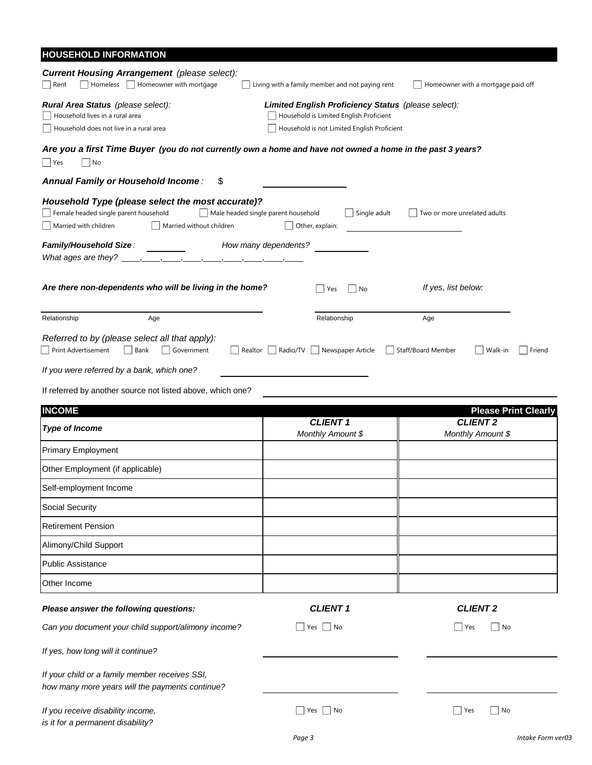| <b>HOUSEHOLD INFORMATION</b>                                                                                                                    |                                                                                                                                               |                                         |
|-------------------------------------------------------------------------------------------------------------------------------------------------|-----------------------------------------------------------------------------------------------------------------------------------------------|-----------------------------------------|
| <b>Current Housing Arrangement</b> (please select):<br>Homeless     Homeowner with mortgage<br>Rent                                             | Living with a family member and not paying rent                                                                                               | Homeowner with a mortgage paid off      |
| Rural Area Status (please select):<br>Household lives in a rural area<br>Household does not live in a rural area                                | Limited English Proficiency Status (please select):<br>Household is Limited English Proficient<br>Household is not Limited English Proficient |                                         |
| Are you a first Time Buyer (you do not currently own a home and have not owned a home in the past 3 years?<br>  Yes<br>  No                     |                                                                                                                                               |                                         |
| Annual Family or Household Income:<br>\$                                                                                                        |                                                                                                                                               |                                         |
| Household Type (please select the most accurate)?<br>Female headed single parent household<br>Married with children<br>Married without children | Male headed single parent household<br>Single adult<br>Other, explain:                                                                        | Two or more unrelated adults            |
| Family/Household Size:<br>What ages are they? $\_$                                                                                              | How many dependents?                                                                                                                          |                                         |
| Are there non-dependents who will be living in the home?                                                                                        | No<br>Yes                                                                                                                                     | If yes, list below:                     |
| Relationship<br>Age                                                                                                                             | Relationship                                                                                                                                  | Age                                     |
| Referred to by (please select all that apply):<br>Print Advertisement<br>$\vert$ Bank<br>Government                                             | Newspaper Article<br>Realtor     Radio/TV                                                                                                     | Staff/Board Member<br>Walk-in<br>Friend |
| If you were referred by a bank, which one?                                                                                                      |                                                                                                                                               |                                         |
| If referred by another source not listed above, which one?                                                                                      |                                                                                                                                               |                                         |
| <b>INCOME</b>                                                                                                                                   |                                                                                                                                               | <b>Please Print Clearly</b>             |
| <b>Type of Income</b>                                                                                                                           | <b>CLIENT 1</b><br>Monthly Amount \$                                                                                                          | <b>CLIENT 2</b><br>Monthly Amount \$    |
| <b>Primary Employment</b>                                                                                                                       |                                                                                                                                               |                                         |
| Other Employment (if applicable)                                                                                                                |                                                                                                                                               |                                         |
| Self-employment Income                                                                                                                          |                                                                                                                                               |                                         |
| Social Security                                                                                                                                 |                                                                                                                                               |                                         |
| <b>Retirement Pension</b>                                                                                                                       |                                                                                                                                               |                                         |
| Alimony/Child Support                                                                                                                           |                                                                                                                                               |                                         |
| <b>Public Assistance</b>                                                                                                                        |                                                                                                                                               |                                         |
| Other Income                                                                                                                                    |                                                                                                                                               |                                         |
| Please answer the following questions:                                                                                                          | <b>CLIENT 1</b>                                                                                                                               | <b>CLIENT 2</b>                         |
| Can you document your child support/alimony income?                                                                                             | Yes $\Box$ No                                                                                                                                 | Yes<br>∣No                              |
| If yes, how long will it continue?                                                                                                              |                                                                                                                                               |                                         |
| If your child or a family member receives SSI,<br>how many more years will the payments continue?                                               |                                                                                                                                               |                                         |
| If you receive disability income,<br>is it for a permanent disability?                                                                          | $Yes \mid \text{No}$                                                                                                                          | Yes<br>  No                             |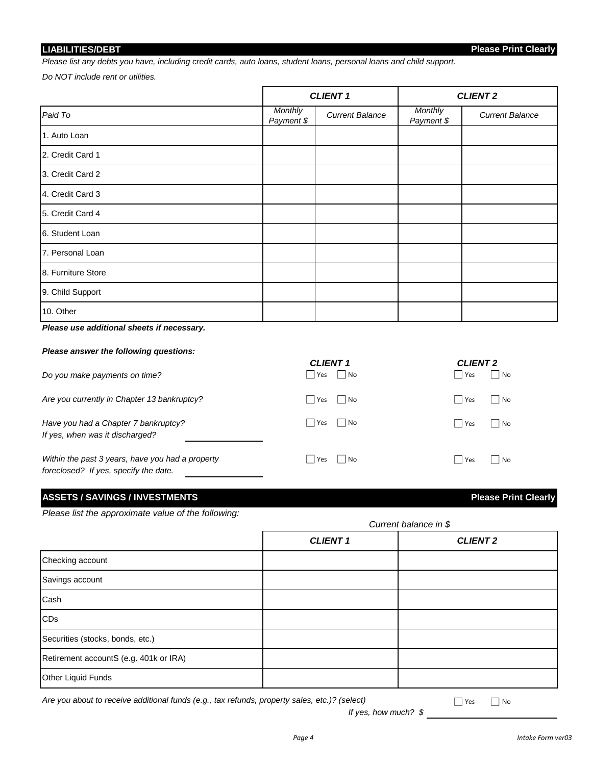#### **LIABILITIES/DEBT**

**Please Print Clearly**

*Please list any debts you have, including credit cards, auto loans, student loans, personal loans and child support.* 

*Do NOT include rent or utilities.*

|                    | <b>CLIENT 1</b>              |                        |                              | <b>CLIENT 2</b>        |
|--------------------|------------------------------|------------------------|------------------------------|------------------------|
| Paid To            | <b>Monthly</b><br>Payment \$ | <b>Current Balance</b> | <b>Monthly</b><br>Payment \$ | <b>Current Balance</b> |
| 1. Auto Loan       |                              |                        |                              |                        |
| 2. Credit Card 1   |                              |                        |                              |                        |
| 3. Credit Card 2   |                              |                        |                              |                        |
| 4. Credit Card 3   |                              |                        |                              |                        |
| 5. Credit Card 4   |                              |                        |                              |                        |
| 6. Student Loan    |                              |                        |                              |                        |
| 7. Personal Loan   |                              |                        |                              |                        |
| 8. Furniture Store |                              |                        |                              |                        |
| 9. Child Support   |                              |                        |                              |                        |
| 10. Other          |                              |                        |                              |                        |

*Please use additional sheets if necessary.*

#### *Please answer the following questions:*

|                                                                                           | <b>CLIENT 1</b> | <b>CLIENT 2</b>           |
|-------------------------------------------------------------------------------------------|-----------------|---------------------------|
| Do you make payments on time?                                                             | Yes<br>No       | No<br>  Yes               |
| Are you currently in Chapter 13 bankruptcy?                                               | No<br>Yes       | No<br>  Yes               |
| Have you had a Chapter 7 bankruptcy?<br>If yes, when was it discharged?                   | Yes<br>No       | Yes<br>$\vert$ $\vert$ No |
| Within the past 3 years, have you had a property<br>foreclosed? If yes, specify the date. | No<br>Yes       | No<br>  Yes<br>$\perp$    |

#### **ASSETS / SAVINGS / INVESTMENTS Please Print Clearly**

*Please list the approximate value of the following:*

| . .                                    | Current balance in \$ |                 |  |
|----------------------------------------|-----------------------|-----------------|--|
|                                        | <b>CLIENT 1</b>       | <b>CLIENT 2</b> |  |
| Checking account                       |                       |                 |  |
| Savings account                        |                       |                 |  |
| Cash                                   |                       |                 |  |
| CDs                                    |                       |                 |  |
| Securities (stocks, bonds, etc.)       |                       |                 |  |
| Retirement accountS (e.g. 401k or IRA) |                       |                 |  |
| Other Liquid Funds                     |                       |                 |  |

*Are you about to receive additional funds (e.g., tax refunds, property sales, etc.)? (select)*

*If yes, how much? \$*

■ Yes ■ No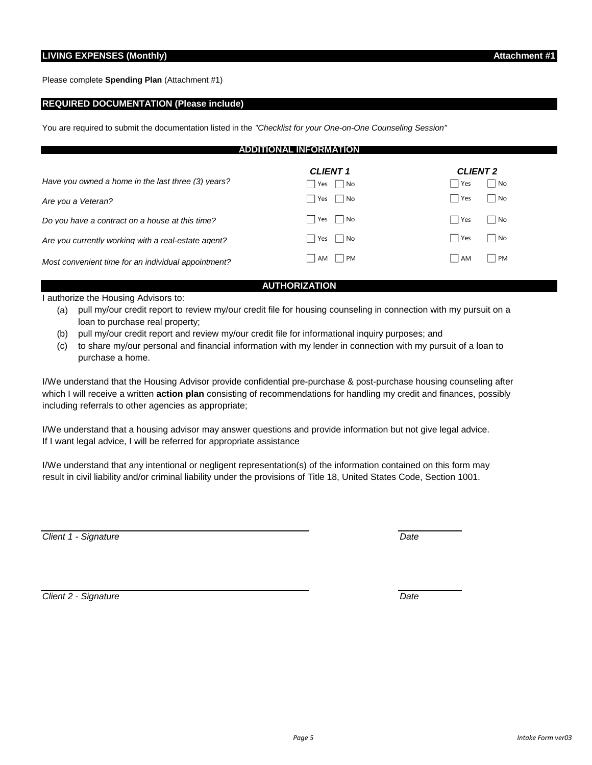Please complete **Spending Plan** (Attachment #1)

#### **REQUIRED DOCUMENTATION (Please include)**

You are required to submit the documentation listed in the *"Checklist for your One-on-One Counseling Session"*

| TIONAL INFORMATION<br><b>ADDI</b>                                        |                                               |                                                 |  |  |
|--------------------------------------------------------------------------|-----------------------------------------------|-------------------------------------------------|--|--|
| Have you owned a home in the last three (3) years?<br>Are vou a Veteran? | <b>CLIENT 1</b><br>  No<br>Yes<br>Yes<br>  No | <b>CLIENT 2</b><br>  No<br>Yes<br>  Yes<br>  No |  |  |
| Do you have a contract on a house at this time?                          | Yes  <br>∣ I No                               | l Yes<br>    No                                 |  |  |
| Are you currently working with a real-estate agent?                      | Yes     No                                    | l Yes<br>  No                                   |  |  |
| Most convenient time for an individual appointment?                      | $\overline{\mathsf{AM}}$<br>  PM              | l AM<br>PM<br>$\mathbf{I}$                      |  |  |

#### **AUTHORIZATION**

I authorize the Housing Advisors to:

- (a) pull my/our credit report to review my/our credit file for housing counseling in connection with my pursuit on a loan to purchase real property;
- (b) pull my/our credit report and review my/our credit file for informational inquiry purposes; and
- (c) to share my/our personal and financial information with my lender in connection with my pursuit of a loan to purchase a home.

I/We understand that the Housing Advisor provide confidential pre-purchase & post-purchase housing counseling after which I will receive a written **action plan** consisting of recommendations for handling my credit and finances, possibly including referrals to other agencies as appropriate;

I/We understand that a housing advisor may answer questions and provide information but not give legal advice. If I want legal advice, I will be referred for appropriate assistance

I/We understand that any intentional or negligent representation(s) of the information contained on this form may result in civil liability and/or criminal liability under the provisions of Title 18, United States Code, Section 1001.

*Client 1 - Signature Date*

*Client 2 - Signature Date*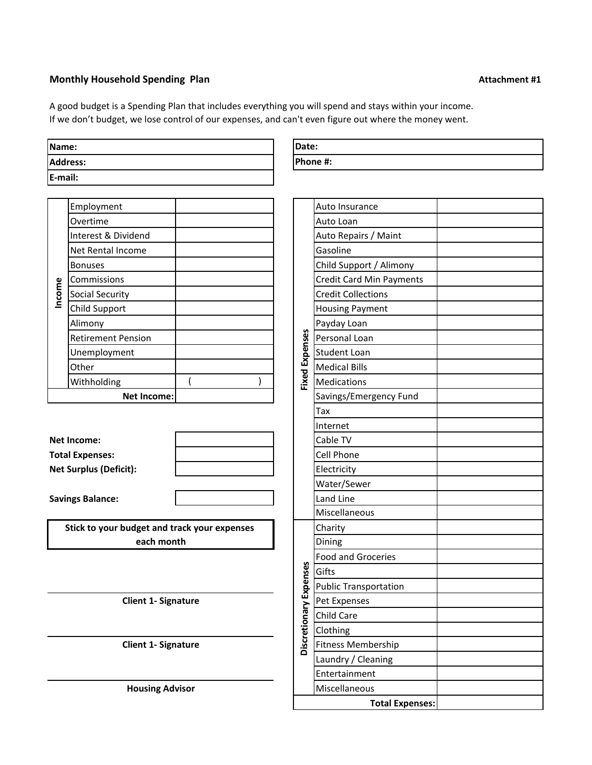### **Monthly Household Spending Plan Attachment #1**

A good budget is a Spending Plan that includes everything you will spend and stays within your income. If we don't budget, we lose control of our expenses, and can't even figure out where the money went.

| Name:           |  |
|-----------------|--|
| <b>Address:</b> |  |
| E-mail:         |  |

|        | Employment                |  |       | Auto Insurance                  |
|--------|---------------------------|--|-------|---------------------------------|
|        | Overtime                  |  |       | Auto Loan                       |
|        | Interest & Dividend       |  |       | Auto Repairs / Maint            |
|        | Net Rental Income         |  |       | Gasoline                        |
|        | <b>Bonuses</b>            |  |       | Child Support / Alimony         |
|        | Commissions               |  |       | <b>Credit Card Min Payments</b> |
| Income | <b>Social Security</b>    |  |       | <b>Credit Collections</b>       |
|        | Child Support             |  |       | <b>Housing Payment</b>          |
|        | Alimony                   |  |       | Payday Loan                     |
|        | <b>Retirement Pension</b> |  | nses  | Personal Loan                   |
|        | Unemployment              |  | Exper | <b>Student Loan</b>             |
|        | Other                     |  |       | <b>Medical Bills</b>            |
|        | Withholding               |  | Fixed | <b>Medications</b>              |
|        | Net Income:               |  |       | Savings/Emergency Fund          |

| Net Income:                   |  | <b>Cable TV</b>     |
|-------------------------------|--|---------------------|
| <b>Total Expenses:</b>        |  | <b>Cell Phone</b>   |
| <b>Net Surplus (Deficit):</b> |  | <b>IElectricity</b> |
|                               |  |                     |

**Savings Balance:** 

**Stick to your budget and track your expenses each month**

**Client 1- Signature**

**Client 1- Signature**

**Housing Advisor**

| <b>IDate:</b> |  |
|---------------|--|
| Phone #:      |  |

|                       | Auto Insurance                   |  |
|-----------------------|----------------------------------|--|
|                       |                                  |  |
|                       | Auto Loan                        |  |
|                       | Auto Repairs / Maint<br>Gasoline |  |
|                       |                                  |  |
|                       | Child Support / Alimony          |  |
|                       | <b>Credit Card Min Payments</b>  |  |
|                       | <b>Credit Collections</b>        |  |
|                       | <b>Housing Payment</b>           |  |
|                       | Payday Loan                      |  |
| <b>Fixed Expenses</b> | Personal Loan                    |  |
|                       | <b>Student Loan</b>              |  |
|                       | <b>Medical Bills</b>             |  |
|                       | Medications                      |  |
|                       | Savings/Emergency Fund           |  |
|                       | Tax                              |  |
|                       | Internet                         |  |
|                       | Cable TV                         |  |
|                       | Cell Phone                       |  |
|                       | Electricity                      |  |
|                       | Water/Sewer                      |  |
|                       | Land Line                        |  |
|                       | Miscellaneous                    |  |
|                       | Charity                          |  |
|                       | Dining                           |  |
|                       | <b>Food and Groceries</b>        |  |
|                       | Gifts                            |  |
|                       | <b>Public Transportation</b>     |  |
|                       | Pet Expenses                     |  |
| ionary Expenses       | Child Care                       |  |
|                       | Clothing                         |  |
| <b>Discret</b>        | Fitness Membership               |  |
|                       | Laundry / Cleaning               |  |
|                       | Entertainment                    |  |
|                       | Miscellaneous                    |  |
|                       | <b>Total Expenses:</b>           |  |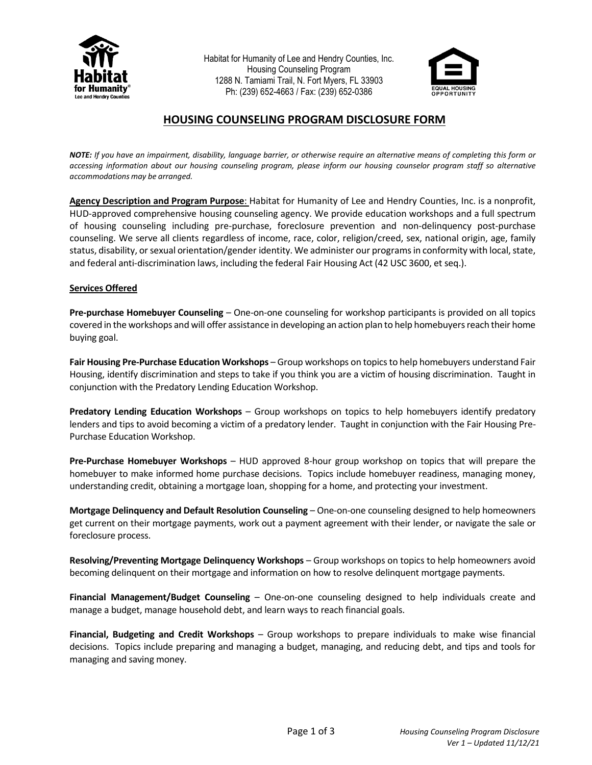

Habitat for Humanity of Lee and Hendry Counties, Inc. Housing Counseling Program 1288 N. Tamiami Trail, N. Fort Myers, FL 33903 Ph: (239) 652-4663 / Fax: (239) 652-0386



# **HOUSING COUNSELING PROGRAM DISCLOSURE FORM**

NOTE: If you have an impairment, disability, language barrier, or otherwise require an alternative means of completing this form or *accessing information about our housing counseling program, please inform our housing counselor program staff so alternative accommodations may be arranged.*

**Agency Description and Program Purpose**: Habitat for Humanity of Lee and Hendry Counties, Inc. is a nonprofit, HUD-approved comprehensive housing counseling agency. We provide education workshops and a full spectrum of housing counseling including pre-purchase, foreclosure prevention and non-delinquency post-purchase counseling. We serve all clients regardless of income, race, color, religion/creed, sex, national origin, age, family status, disability, or sexual orientation/gender identity. We administer our programs in conformity with local, state, and federal anti-discrimination laws, including the federal Fair Housing Act (42 USC 3600, et seq.).

#### **Services Offered**

**Pre-purchase Homebuyer Counseling** – One-on-one counseling for workshop participants is provided on all topics covered in the workshops and will offer assistance in developing an action plan to help homebuyers reach their home buying goal.

**Fair Housing Pre-Purchase Education Workshops** – Group workshops on topics to help homebuyers understand Fair Housing, identify discrimination and steps to take if you think you are a victim of housing discrimination. Taught in conjunction with the Predatory Lending Education Workshop.

**Predatory Lending Education Workshops** – Group workshops on topics to help homebuyers identify predatory lenders and tips to avoid becoming a victim of a predatory lender. Taught in conjunction with the Fair Housing Pre-Purchase Education Workshop.

**Pre-Purchase Homebuyer Workshops** – HUD approved 8-hour group workshop on topics that will prepare the homebuyer to make informed home purchase decisions. Topics include homebuyer readiness, managing money, understanding credit, obtaining a mortgage loan, shopping for a home, and protecting your investment.

**Mortgage Delinquency and Default Resolution Counseling** – One-on-one counseling designed to help homeowners get current on their mortgage payments, work out a payment agreement with their lender, or navigate the sale or foreclosure process.

**Resolving/Preventing Mortgage Delinquency Workshops** – Group workshops on topics to help homeowners avoid becoming delinquent on their mortgage and information on how to resolve delinquent mortgage payments.

**Financial Management/Budget Counseling** – One-on-one counseling designed to help individuals create and manage a budget, manage household debt, and learn ways to reach financial goals.

**Financial, Budgeting and Credit Workshops** – Group workshops to prepare individuals to make wise financial decisions. Topics include preparing and managing a budget, managing, and reducing debt, and tips and tools for managing and saving money.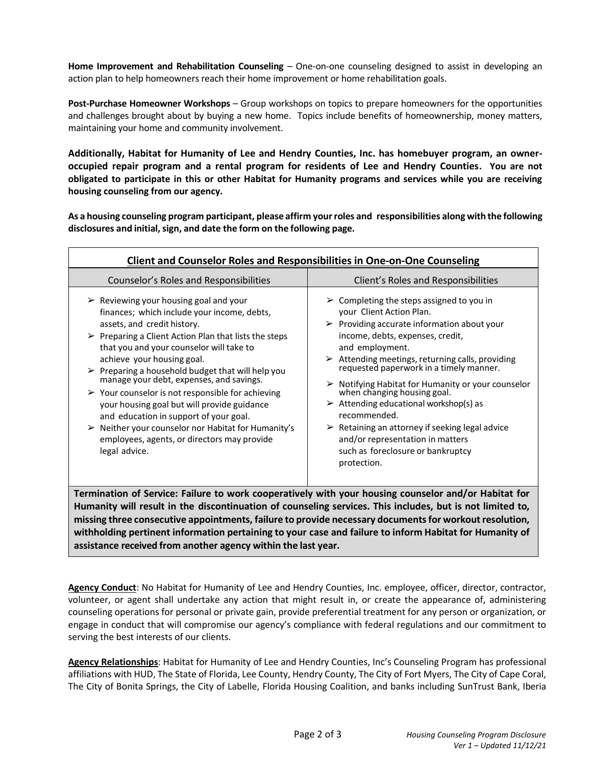**Home Improvement and Rehabilitation Counseling** – One-on-one counseling designed to assist in developing an action plan to help homeowners reach their home improvement or home rehabilitation goals.

**Post-Purchase Homeowner Workshops** – Group workshops on topics to prepare homeowners for the opportunities and challenges brought about by buying a new home. Topics include benefits of homeownership, money matters, maintaining your home and community involvement.

**Additionally, Habitat for Humanity of Lee and Hendry Counties, Inc. has homebuyer program, an owneroccupied repair program and a rental program for residents of Lee and Hendry Counties. You are not obligated to participate in this or other Habitat for Humanity programs and services while you are receiving housing counseling from our agency.**

**As a housing counseling program participant, please affirm yourroles and responsibilities along with the following disclosures and initial,sign, and date the form on the following page.**

| <b>Client and Counselor Roles and Responsibilities in One-on-One Counseling</b>                                                                                                                                                                                                                                                                                                                                                                                                                                                                                                                                                                                                                          |                                                                                                                                                                                                                                                                                                                                                                                                                                                                                                                                                                                                                                                                |  |  |
|----------------------------------------------------------------------------------------------------------------------------------------------------------------------------------------------------------------------------------------------------------------------------------------------------------------------------------------------------------------------------------------------------------------------------------------------------------------------------------------------------------------------------------------------------------------------------------------------------------------------------------------------------------------------------------------------------------|----------------------------------------------------------------------------------------------------------------------------------------------------------------------------------------------------------------------------------------------------------------------------------------------------------------------------------------------------------------------------------------------------------------------------------------------------------------------------------------------------------------------------------------------------------------------------------------------------------------------------------------------------------------|--|--|
| Counselor's Roles and Responsibilities                                                                                                                                                                                                                                                                                                                                                                                                                                                                                                                                                                                                                                                                   | Client's Roles and Responsibilities                                                                                                                                                                                                                                                                                                                                                                                                                                                                                                                                                                                                                            |  |  |
| $\triangleright$ Reviewing your housing goal and your<br>finances; which include your income, debts,<br>assets, and credit history.<br>$\triangleright$ Preparing a Client Action Plan that lists the steps<br>that you and your counselor will take to<br>achieve your housing goal.<br>$\triangleright$ Preparing a household budget that will help you<br>manage your debt, expenses, and savings.<br>$\triangleright$ Your counselor is not responsible for achieving<br>your housing goal but will provide guidance<br>and education in support of your goal.<br>$\triangleright$ Neither your counselor nor Habitat for Humanity's<br>employees, agents, or directors may provide<br>legal advice. | $\triangleright$ Completing the steps assigned to you in<br>your Client Action Plan.<br>$\triangleright$ Providing accurate information about your<br>income, debts, expenses, credit,<br>and employment.<br>$\triangleright$ Attending meetings, returning calls, providing<br>requested paperwork in a timely manner.<br>$\triangleright$ Notifying Habitat for Humanity or your counselor<br>when changing housing goal.<br>$\triangleright$ Attending educational workshop(s) as<br>recommended.<br>$\triangleright$ Retaining an attorney if seeking legal advice<br>and/or representation in matters<br>such as foreclosure or bankruptcy<br>protection. |  |  |
| Termination of Service: Failure to work cooperatively with your housing counselor and/or Habitat for<br>Humanity will result in the discontinuation of counseling services. This includes, but is not limited to,<br>missing three consecutive appointments, failure to provide necessary documents for workout resolution,<br>withholding pertinent information pertaining to your case and failure to inform Habitat for Humanity of                                                                                                                                                                                                                                                                   |                                                                                                                                                                                                                                                                                                                                                                                                                                                                                                                                                                                                                                                                |  |  |

**assistance received from another agency within the last year.**

**Agency Conduct**: No Habitat for Humanity of Lee and Hendry Counties, Inc. employee, officer, director, contractor, volunteer, or agent shall undertake any action that might result in, or create the appearance of, administering counseling operations for personal or private gain, provide preferential treatment for any person or organization, or engage in conduct that will compromise our agency's compliance with federal regulations and our commitment to serving the best interests of our clients.

**Agency Relationships**: Habitat for Humanity of Lee and Hendry Counties, Inc's Counseling Program has professional affiliations with HUD, The State of Florida, Lee County, Hendry County, The City of Fort Myers, The City of Cape Coral, The City of Bonita Springs, the City of Labelle, Florida Housing Coalition, and banks including SunTrust Bank, Iberia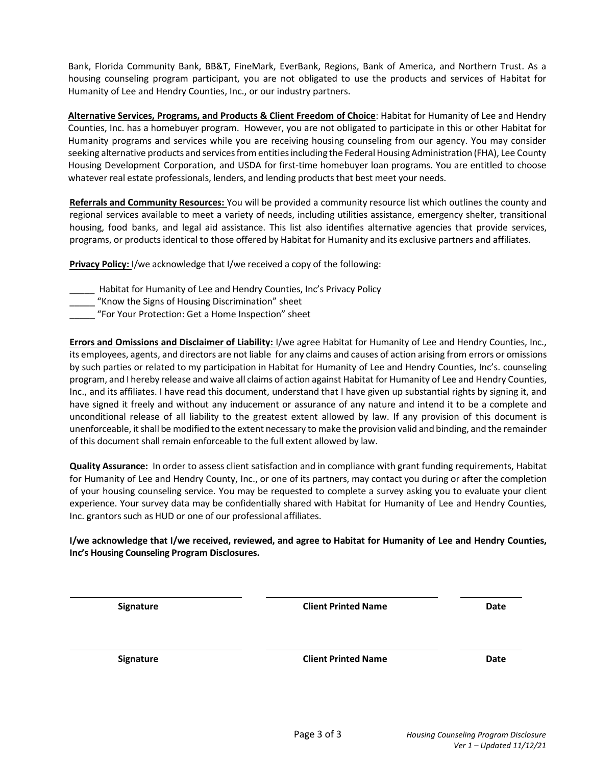Bank, Florida Community Bank, BB&T, FineMark, EverBank, Regions, Bank of America, and Northern Trust. As a housing counseling program participant, you are not obligated to use the products and services of Habitat for Humanity of Lee and Hendry Counties, Inc., or our industry partners.

**Alternative Services, Programs, and Products & Client Freedom of Choice**: Habitat for Humanity of Lee and Hendry Counties, Inc. has a homebuyer program. However, you are not obligated to participate in this or other Habitat for Humanity programs and services while you are receiving housing counseling from our agency. You may consider seeking alternative products and services from entities including the Federal Housing Administration (FHA), Lee County Housing Development Corporation, and USDA for first-time homebuyer loan programs. You are entitled to choose whatever real estate professionals, lenders, and lending products that best meet your needs.

**Referrals and Community Resources:** You will be provided a community resource list which outlines the county and regional services available to meet a variety of needs, including utilities assistance, emergency shelter, transitional housing, food banks, and legal aid assistance. This list also identifies alternative agencies that provide services, programs, or productsidentical to those offered by Habitat for Humanity and its exclusive partners and affiliates.

**Privacy Policy:** I/we acknowledge that I/we received a copy of the following:

- \_\_\_\_\_ Habitat for Humanity of Lee and Hendry Counties, Inc's Privacy Policy
- "Know the Signs of Housing Discrimination" sheet
- \_\_\_\_\_ "For Your Protection: Get a Home Inspection" sheet

**Errors and Omissions and Disclaimer of Liability:** I/we agree Habitat for Humanity of Lee and Hendry Counties, Inc., its employees, agents, and directors are not liable for any claims and causes of action arising from errors or omissions by such parties or related to my participation in Habitat for Humanity of Lee and Hendry Counties, Inc's. counseling program, and I hereby release and waive all claims of action against Habitat for Humanity of Lee and Hendry Counties, Inc., and its affiliates. I have read this document, understand that I have given up substantial rights by signing it, and have signed it freely and without any inducement or assurance of any nature and intend it to be a complete and unconditional release of all liability to the greatest extent allowed by law. If any provision of this document is unenforceable, it shall be modified to the extent necessary to make the provision valid and binding, and the remainder of this document shall remain enforceable to the full extent allowed by law.

**Quality Assurance:** In order to assess client satisfaction and in compliance with grant funding requirements, Habitat for Humanity of Lee and Hendry County, Inc., or one of its partners, may contact you during or after the completion of your housing counseling service. You may be requested to complete a survey asking you to evaluate your client experience. Your survey data may be confidentially shared with Habitat for Humanity of Lee and Hendry Counties, Inc. grantors such as HUD or one of our professional affiliates.

**I/we acknowledge that I/we received, reviewed, and agree to Habitat for Humanity of Lee and Hendry Counties, Inc's Housing Counseling Program Disclosures.**

| Signature | <b>Client Printed Name</b> | Date |
|-----------|----------------------------|------|
| Signature | <b>Client Printed Name</b> | Date |